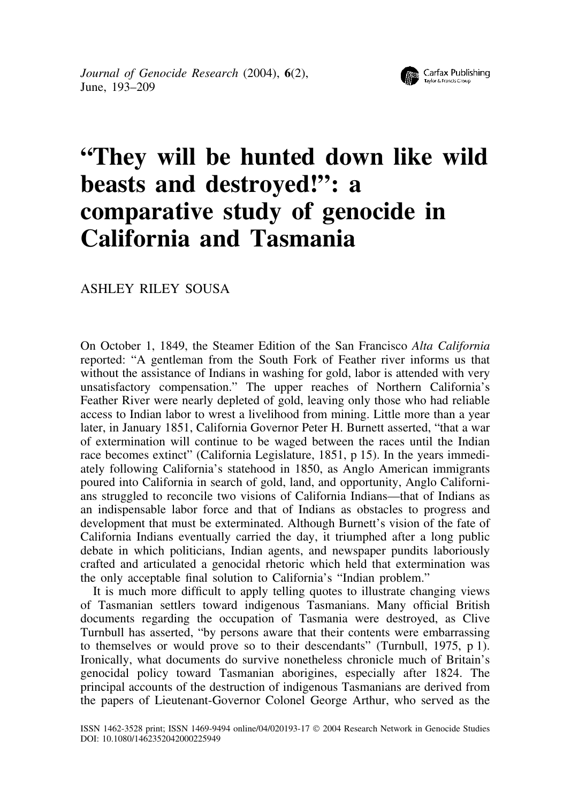

# **"They will be hunted down like wild beasts and destroyed!": a comparative study of genocide in California and Tasmania**

## ASHLEY RILEY SOUSA

On October 1, 1849, the Steamer Edition of the San Francisco *Alta California* reported: "A gentleman from the South Fork of Feather river informs us that without the assistance of Indians in washing for gold, labor is attended with very unsatisfactory compensation." The upper reaches of Northern California's Feather River were nearly depleted of gold, leaving only those who had reliable access to Indian labor to wrest a livelihood from mining. Little more than a year later, in January 1851, California Governor Peter H. Burnett asserted, "that a war of extermination will continue to be waged between the races until the Indian race becomes extinct" (California Legislature, 1851, p 15). In the years immediately following California's statehood in 1850, as Anglo American immigrants poured into California in search of gold, land, and opportunity, Anglo Californians struggled to reconcile two visions of California Indians—that of Indians as an indispensable labor force and that of Indians as obstacles to progress and development that must be exterminated. Although Burnett's vision of the fate of California Indians eventually carried the day, it triumphed after a long public debate in which politicians, Indian agents, and newspaper pundits laboriously crafted and articulated a genocidal rhetoric which held that extermination was the only acceptable final solution to California's "Indian problem."

It is much more difficult to apply telling quotes to illustrate changing views of Tasmanian settlers toward indigenous Tasmanians. Many official British documents regarding the occupation of Tasmania were destroyed, as Clive Turnbull has asserted, "by persons aware that their contents were embarrassing to themselves or would prove so to their descendants" (Turnbull, 1975, p 1). Ironically, what documents do survive nonetheless chronicle much of Britain's genocidal policy toward Tasmanian aborigines, especially after 1824. The principal accounts of the destruction of indigenous Tasmanians are derived from the papers of Lieutenant-Governor Colonel George Arthur, who served as the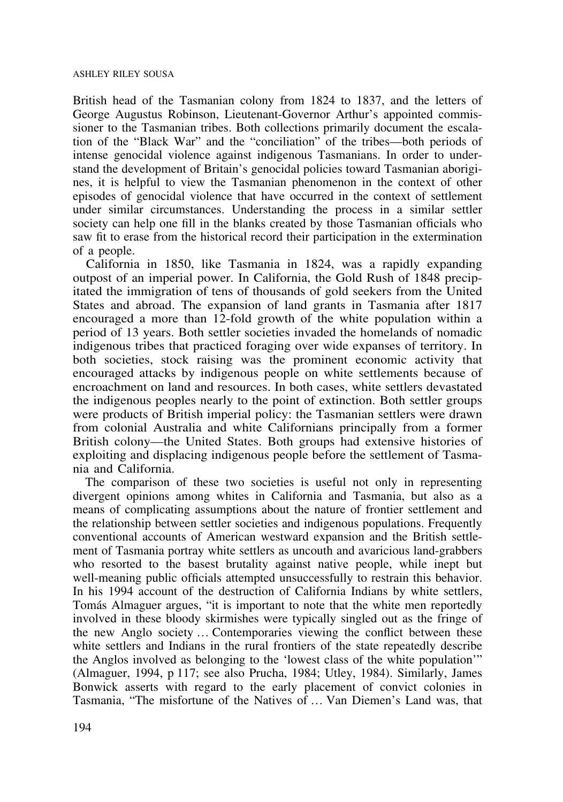British head of the Tasmanian colony from 1824 to 1837, and the letters of George Augustus Robinson, Lieutenant-Governor Arthur's appointed commissioner to the Tasmanian tribes. Both collections primarily document the escalation of the "Black War" and the "conciliation" of the tribes—both periods of intense genocidal violence against indigenous Tasmanians. In order to understand the development of Britain's genocidal policies toward Tasmanian aborigines, it is helpful to view the Tasmanian phenomenon in the context of other episodes of genocidal violence that have occurred in the context of settlement under similar circumstances. Understanding the process in a similar settler society can help one fill in the blanks created by those Tasmanian officials who saw fit to erase from the historical record their participation in the extermination of a people.

California in 1850, like Tasmania in 1824, was a rapidly expanding outpost of an imperial power. In California, the Gold Rush of 1848 precipitated the immigration of tens of thousands of gold seekers from the United States and abroad. The expansion of land grants in Tasmania after 1817 encouraged a more than 12-fold growth of the white population within a period of 13 years. Both settler societies invaded the homelands of nomadic indigenous tribes that practiced foraging over wide expanses of territory. In both societies, stock raising was the prominent economic activity that encouraged attacks by indigenous people on white settlements because of encroachment on land and resources. In both cases, white settlers devastated the indigenous peoples nearly to the point of extinction. Both settler groups were products of British imperial policy: the Tasmanian settlers were drawn from colonial Australia and white Californians principally from a former British colony—the United States. Both groups had extensive histories of exploiting and displacing indigenous people before the settlement of Tasmania and California.

The comparison of these two societies is useful not only in representing divergent opinions among whites in California and Tasmania, but also as a means of complicating assumptions about the nature of frontier settlement and the relationship between settler societies and indigenous populations. Frequently conventional accounts of American westward expansion and the British settlement of Tasmania portray white settlers as uncouth and avaricious land-grabbers who resorted to the basest brutality against native people, while inept but well-meaning public officials attempted unsuccessfully to restrain this behavior. In his 1994 account of the destruction of California Indians by white settlers, Tomás Almaguer argues, "it is important to note that the white men reportedly involved in these bloody skirmishes were typically singled out as the fringe of the new Anglo society … Contemporaries viewing the conflict between these white settlers and Indians in the rural frontiers of the state repeatedly describe the Anglos involved as belonging to the 'lowest class of the white population'" (Almaguer, 1994, p 117; see also Prucha, 1984; Utley, 1984). Similarly, James Bonwick asserts with regard to the early placement of convict colonies in Tasmania, "The misfortune of the Natives of … Van Diemen's Land was, that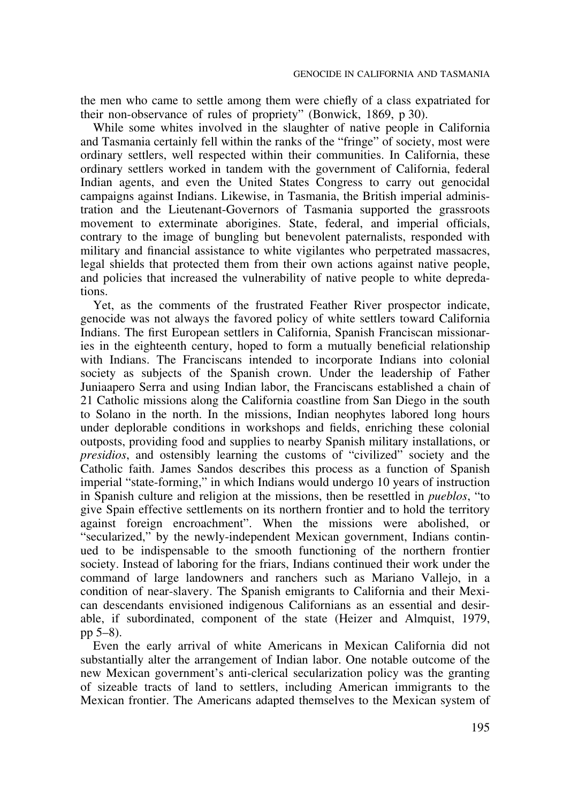the men who came to settle among them were chiefly of a class expatriated for their non-observance of rules of propriety" (Bonwick, 1869, p 30).

While some whites involved in the slaughter of native people in California and Tasmania certainly fell within the ranks of the "fringe" of society, most were ordinary settlers, well respected within their communities. In California, these ordinary settlers worked in tandem with the government of California, federal Indian agents, and even the United States Congress to carry out genocidal campaigns against Indians. Likewise, in Tasmania, the British imperial administration and the Lieutenant-Governors of Tasmania supported the grassroots movement to exterminate aborigines. State, federal, and imperial officials, contrary to the image of bungling but benevolent paternalists, responded with military and financial assistance to white vigilantes who perpetrated massacres, legal shields that protected them from their own actions against native people, and policies that increased the vulnerability of native people to white depredations.

Yet, as the comments of the frustrated Feather River prospector indicate, genocide was not always the favored policy of white settlers toward California Indians. The first European settlers in California, Spanish Franciscan missionaries in the eighteenth century, hoped to form a mutually beneficial relationship with Indians. The Franciscans intended to incorporate Indians into colonial society as subjects of the Spanish crown. Under the leadership of Father Juniaapero Serra and using Indian labor, the Franciscans established a chain of 21 Catholic missions along the California coastline from San Diego in the south to Solano in the north. In the missions, Indian neophytes labored long hours under deplorable conditions in workshops and fields, enriching these colonial outposts, providing food and supplies to nearby Spanish military installations, or *presidios*, and ostensibly learning the customs of "civilized" society and the Catholic faith. James Sandos describes this process as a function of Spanish imperial "state-forming," in which Indians would undergo 10 years of instruction in Spanish culture and religion at the missions, then be resettled in *pueblos*, "to give Spain effective settlements on its northern frontier and to hold the territory against foreign encroachment". When the missions were abolished, or "secularized," by the newly-independent Mexican government, Indians continued to be indispensable to the smooth functioning of the northern frontier society. Instead of laboring for the friars, Indians continued their work under the command of large landowners and ranchers such as Mariano Vallejo, in a condition of near-slavery. The Spanish emigrants to California and their Mexican descendants envisioned indigenous Californians as an essential and desirable, if subordinated, component of the state (Heizer and Almquist, 1979, pp 5–8).

Even the early arrival of white Americans in Mexican California did not substantially alter the arrangement of Indian labor. One notable outcome of the new Mexican government's anti-clerical secularization policy was the granting of sizeable tracts of land to settlers, including American immigrants to the Mexican frontier. The Americans adapted themselves to the Mexican system of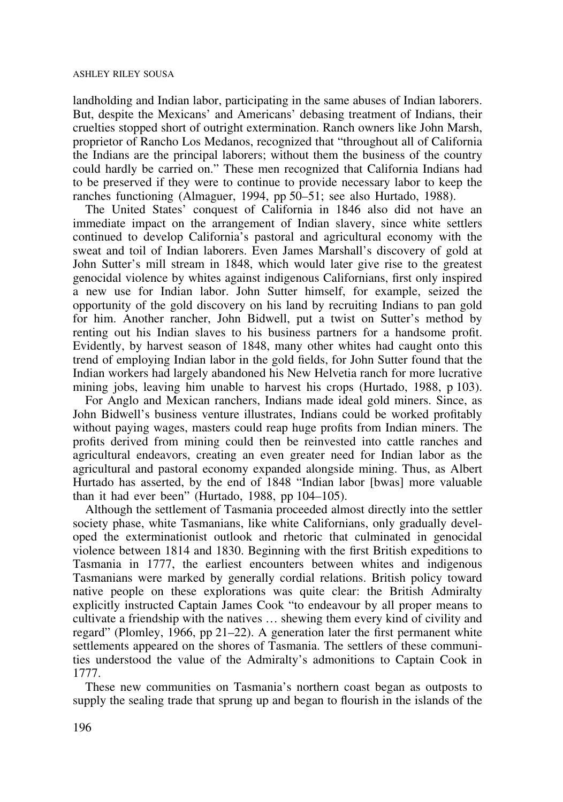landholding and Indian labor, participating in the same abuses of Indian laborers. But, despite the Mexicans' and Americans' debasing treatment of Indians, their cruelties stopped short of outright extermination. Ranch owners like John Marsh, proprietor of Rancho Los Medanos, recognized that "throughout all of California the Indians are the principal laborers; without them the business of the country could hardly be carried on." These men recognized that California Indians had to be preserved if they were to continue to provide necessary labor to keep the ranches functioning (Almaguer, 1994, pp 50–51; see also Hurtado, 1988).

The United States' conquest of California in 1846 also did not have an immediate impact on the arrangement of Indian slavery, since white settlers continued to develop California's pastoral and agricultural economy with the sweat and toil of Indian laborers. Even James Marshall's discovery of gold at John Sutter's mill stream in 1848, which would later give rise to the greatest genocidal violence by whites against indigenous Californians, first only inspired a new use for Indian labor. John Sutter himself, for example, seized the opportunity of the gold discovery on his land by recruiting Indians to pan gold for him. Another rancher, John Bidwell, put a twist on Sutter's method by renting out his Indian slaves to his business partners for a handsome profit. Evidently, by harvest season of 1848, many other whites had caught onto this trend of employing Indian labor in the gold fields, for John Sutter found that the Indian workers had largely abandoned his New Helvetia ranch for more lucrative mining jobs, leaving him unable to harvest his crops (Hurtado, 1988, p 103).

For Anglo and Mexican ranchers, Indians made ideal gold miners. Since, as John Bidwell's business venture illustrates, Indians could be worked profitably without paying wages, masters could reap huge profits from Indian miners. The profits derived from mining could then be reinvested into cattle ranches and agricultural endeavors, creating an even greater need for Indian labor as the agricultural and pastoral economy expanded alongside mining. Thus, as Albert Hurtado has asserted, by the end of 1848 "Indian labor [bwas] more valuable than it had ever been" (Hurtado, 1988, pp 104–105).

Although the settlement of Tasmania proceeded almost directly into the settler society phase, white Tasmanians, like white Californians, only gradually developed the exterminationist outlook and rhetoric that culminated in genocidal violence between 1814 and 1830. Beginning with the first British expeditions to Tasmania in 1777, the earliest encounters between whites and indigenous Tasmanians were marked by generally cordial relations. British policy toward native people on these explorations was quite clear: the British Admiralty explicitly instructed Captain James Cook "to endeavour by all proper means to cultivate a friendship with the natives … shewing them every kind of civility and regard" (Plomley, 1966, pp 21–22). A generation later the first permanent white settlements appeared on the shores of Tasmania. The settlers of these communities understood the value of the Admiralty's admonitions to Captain Cook in 1777.

These new communities on Tasmania's northern coast began as outposts to supply the sealing trade that sprung up and began to flourish in the islands of the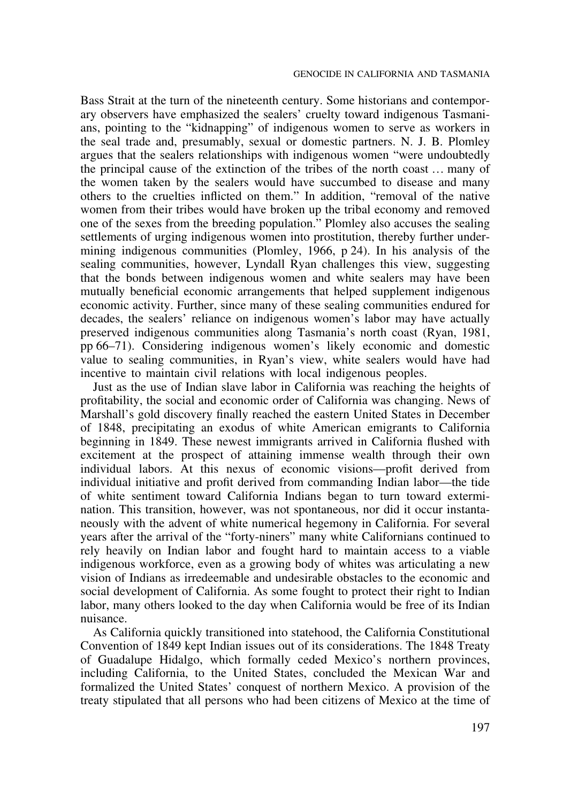Bass Strait at the turn of the nineteenth century. Some historians and contemporary observers have emphasized the sealers' cruelty toward indigenous Tasmanians, pointing to the "kidnapping" of indigenous women to serve as workers in the seal trade and, presumably, sexual or domestic partners. N. J. B. Plomley argues that the sealers relationships with indigenous women "were undoubtedly the principal cause of the extinction of the tribes of the north coast … many of the women taken by the sealers would have succumbed to disease and many others to the cruelties inflicted on them." In addition, "removal of the native women from their tribes would have broken up the tribal economy and removed one of the sexes from the breeding population." Plomley also accuses the sealing settlements of urging indigenous women into prostitution, thereby further undermining indigenous communities (Plomley, 1966, p 24). In his analysis of the sealing communities, however, Lyndall Ryan challenges this view, suggesting that the bonds between indigenous women and white sealers may have been mutually beneficial economic arrangements that helped supplement indigenous economic activity. Further, since many of these sealing communities endured for decades, the sealers' reliance on indigenous women's labor may have actually preserved indigenous communities along Tasmania's north coast (Ryan, 1981, pp 66–71). Considering indigenous women's likely economic and domestic value to sealing communities, in Ryan's view, white sealers would have had incentive to maintain civil relations with local indigenous peoples.

Just as the use of Indian slave labor in California was reaching the heights of profitability, the social and economic order of California was changing. News of Marshall's gold discovery finally reached the eastern United States in December of 1848, precipitating an exodus of white American emigrants to California beginning in 1849. These newest immigrants arrived in California flushed with excitement at the prospect of attaining immense wealth through their own individual labors. At this nexus of economic visions—profit derived from individual initiative and profit derived from commanding Indian labor—the tide of white sentiment toward California Indians began to turn toward extermination. This transition, however, was not spontaneous, nor did it occur instantaneously with the advent of white numerical hegemony in California. For several years after the arrival of the "forty-niners" many white Californians continued to rely heavily on Indian labor and fought hard to maintain access to a viable indigenous workforce, even as a growing body of whites was articulating a new vision of Indians as irredeemable and undesirable obstacles to the economic and social development of California. As some fought to protect their right to Indian labor, many others looked to the day when California would be free of its Indian nuisance.

As California quickly transitioned into statehood, the California Constitutional Convention of 1849 kept Indian issues out of its considerations. The 1848 Treaty of Guadalupe Hidalgo, which formally ceded Mexico's northern provinces, including California, to the United States, concluded the Mexican War and formalized the United States' conquest of northern Mexico. A provision of the treaty stipulated that all persons who had been citizens of Mexico at the time of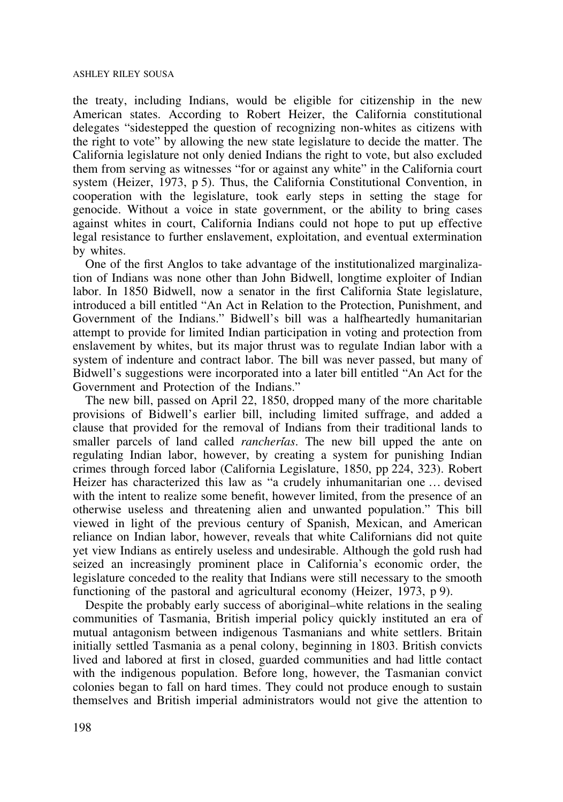the treaty, including Indians, would be eligible for citizenship in the new American states. According to Robert Heizer, the California constitutional delegates "sidestepped the question of recognizing non-whites as citizens with the right to vote" by allowing the new state legislature to decide the matter. The California legislature not only denied Indians the right to vote, but also excluded them from serving as witnesses "for or against any white" in the California court system (Heizer, 1973, p 5). Thus, the California Constitutional Convention, in cooperation with the legislature, took early steps in setting the stage for genocide. Without a voice in state government, or the ability to bring cases against whites in court, California Indians could not hope to put up effective legal resistance to further enslavement, exploitation, and eventual extermination by whites.

One of the first Anglos to take advantage of the institutionalized marginalization of Indians was none other than John Bidwell, longtime exploiter of Indian labor. In 1850 Bidwell, now a senator in the first California State legislature, introduced a bill entitled "An Act in Relation to the Protection, Punishment, and Government of the Indians." Bidwell's bill was a halfheartedly humanitarian attempt to provide for limited Indian participation in voting and protection from enslavement by whites, but its major thrust was to regulate Indian labor with a system of indenture and contract labor. The bill was never passed, but many of Bidwell's suggestions were incorporated into a later bill entitled "An Act for the Government and Protection of the Indians."

The new bill, passed on April 22, 1850, dropped many of the more charitable provisions of Bidwell's earlier bill, including limited suffrage, and added a clause that provided for the removal of Indians from their traditional lands to smaller parcels of land called *rancherias*. The new bill upped the ante on regulating Indian labor, however, by creating a system for punishing Indian crimes through forced labor (California Legislature, 1850, pp 224, 323). Robert Heizer has characterized this law as "a crudely inhumanitarian one … devised with the intent to realize some benefit, however limited, from the presence of an otherwise useless and threatening alien and unwanted population." This bill viewed in light of the previous century of Spanish, Mexican, and American reliance on Indian labor, however, reveals that white Californians did not quite yet view Indians as entirely useless and undesirable. Although the gold rush had seized an increasingly prominent place in California's economic order, the legislature conceded to the reality that Indians were still necessary to the smooth functioning of the pastoral and agricultural economy (Heizer, 1973, p 9).

Despite the probably early success of aboriginal–white relations in the sealing communities of Tasmania, British imperial policy quickly instituted an era of mutual antagonism between indigenous Tasmanians and white settlers. Britain initially settled Tasmania as a penal colony, beginning in 1803. British convicts lived and labored at first in closed, guarded communities and had little contact with the indigenous population. Before long, however, the Tasmanian convict colonies began to fall on hard times. They could not produce enough to sustain themselves and British imperial administrators would not give the attention to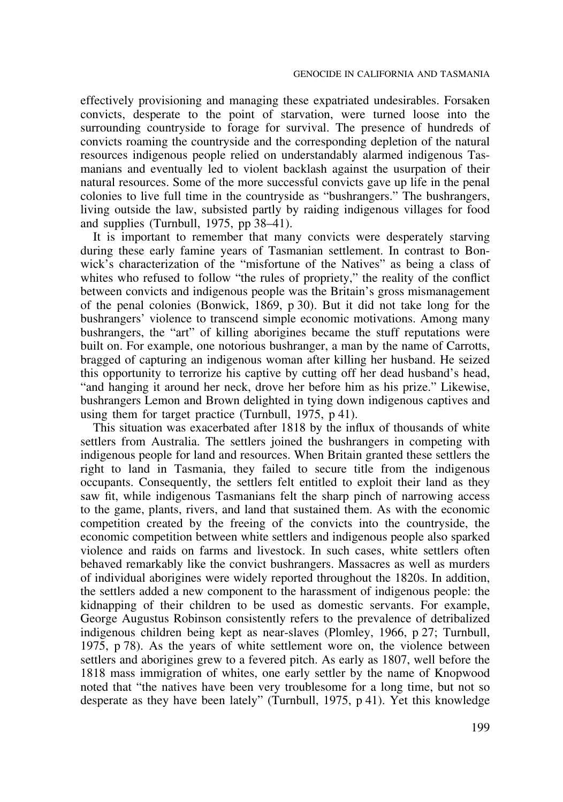effectively provisioning and managing these expatriated undesirables. Forsaken convicts, desperate to the point of starvation, were turned loose into the surrounding countryside to forage for survival. The presence of hundreds of convicts roaming the countryside and the corresponding depletion of the natural resources indigenous people relied on understandably alarmed indigenous Tasmanians and eventually led to violent backlash against the usurpation of their natural resources. Some of the more successful convicts gave up life in the penal colonies to live full time in the countryside as "bushrangers." The bushrangers, living outside the law, subsisted partly by raiding indigenous villages for food and supplies (Turnbull, 1975, pp 38–41).

It is important to remember that many convicts were desperately starving during these early famine years of Tasmanian settlement. In contrast to Bonwick's characterization of the "misfortune of the Natives" as being a class of whites who refused to follow "the rules of propriety," the reality of the conflict between convicts and indigenous people was the Britain's gross mismanagement of the penal colonies (Bonwick, 1869, p 30). But it did not take long for the bushrangers' violence to transcend simple economic motivations. Among many bushrangers, the "art" of killing aborigines became the stuff reputations were built on. For example, one notorious bushranger, a man by the name of Carrotts, bragged of capturing an indigenous woman after killing her husband. He seized this opportunity to terrorize his captive by cutting off her dead husband's head, "and hanging it around her neck, drove her before him as his prize." Likewise, bushrangers Lemon and Brown delighted in tying down indigenous captives and using them for target practice (Turnbull, 1975, p 41).

This situation was exacerbated after 1818 by the influx of thousands of white settlers from Australia. The settlers joined the bushrangers in competing with indigenous people for land and resources. When Britain granted these settlers the right to land in Tasmania, they failed to secure title from the indigenous occupants. Consequently, the settlers felt entitled to exploit their land as they saw fit, while indigenous Tasmanians felt the sharp pinch of narrowing access to the game, plants, rivers, and land that sustained them. As with the economic competition created by the freeing of the convicts into the countryside, the economic competition between white settlers and indigenous people also sparked violence and raids on farms and livestock. In such cases, white settlers often behaved remarkably like the convict bushrangers. Massacres as well as murders of individual aborigines were widely reported throughout the 1820s. In addition, the settlers added a new component to the harassment of indigenous people: the kidnapping of their children to be used as domestic servants. For example, George Augustus Robinson consistently refers to the prevalence of detribalized indigenous children being kept as near-slaves (Plomley, 1966, p 27; Turnbull, 1975, p 78). As the years of white settlement wore on, the violence between settlers and aborigines grew to a fevered pitch. As early as 1807, well before the 1818 mass immigration of whites, one early settler by the name of Knopwood noted that "the natives have been very troublesome for a long time, but not so desperate as they have been lately" (Turnbull, 1975, p 41). Yet this knowledge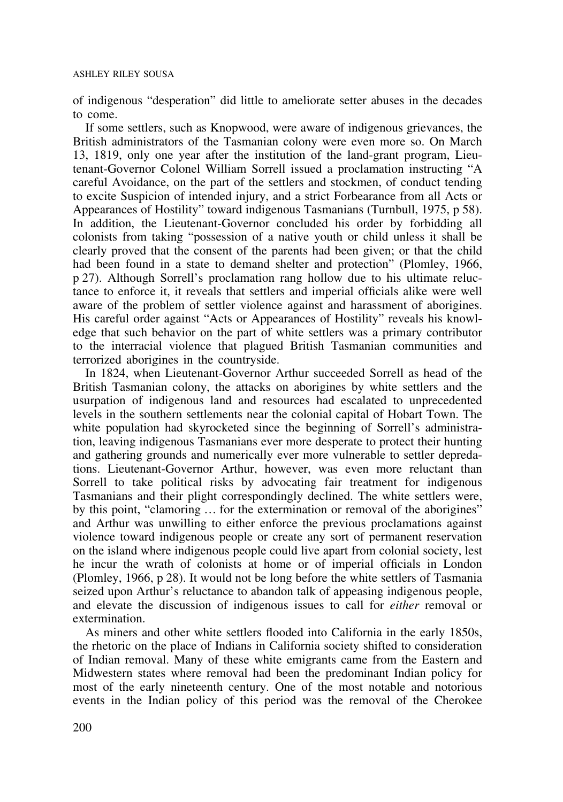of indigenous "desperation" did little to ameliorate setter abuses in the decades to come.

If some settlers, such as Knopwood, were aware of indigenous grievances, the British administrators of the Tasmanian colony were even more so. On March 13, 1819, only one year after the institution of the land-grant program, Lieutenant-Governor Colonel William Sorrell issued a proclamation instructing "A careful Avoidance, on the part of the settlers and stockmen, of conduct tending to excite Suspicion of intended injury, and a strict Forbearance from all Acts or Appearances of Hostility" toward indigenous Tasmanians (Turnbull, 1975, p 58). In addition, the Lieutenant-Governor concluded his order by forbidding all colonists from taking "possession of a native youth or child unless it shall be clearly proved that the consent of the parents had been given; or that the child had been found in a state to demand shelter and protection" (Plomley, 1966, p 27). Although Sorrell's proclamation rang hollow due to his ultimate reluctance to enforce it, it reveals that settlers and imperial officials alike were well aware of the problem of settler violence against and harassment of aborigines. His careful order against "Acts or Appearances of Hostility" reveals his knowledge that such behavior on the part of white settlers was a primary contributor to the interracial violence that plagued British Tasmanian communities and terrorized aborigines in the countryside.

In 1824, when Lieutenant-Governor Arthur succeeded Sorrell as head of the British Tasmanian colony, the attacks on aborigines by white settlers and the usurpation of indigenous land and resources had escalated to unprecedented levels in the southern settlements near the colonial capital of Hobart Town. The white population had skyrocketed since the beginning of Sorrell's administration, leaving indigenous Tasmanians ever more desperate to protect their hunting and gathering grounds and numerically ever more vulnerable to settler depredations. Lieutenant-Governor Arthur, however, was even more reluctant than Sorrell to take political risks by advocating fair treatment for indigenous Tasmanians and their plight correspondingly declined. The white settlers were, by this point, "clamoring … for the extermination or removal of the aborigines" and Arthur was unwilling to either enforce the previous proclamations against violence toward indigenous people or create any sort of permanent reservation on the island where indigenous people could live apart from colonial society, lest he incur the wrath of colonists at home or of imperial officials in London (Plomley, 1966, p 28). It would not be long before the white settlers of Tasmania seized upon Arthur's reluctance to abandon talk of appeasing indigenous people, and elevate the discussion of indigenous issues to call for *either* removal or extermination.

As miners and other white settlers flooded into California in the early 1850s, the rhetoric on the place of Indians in California society shifted to consideration of Indian removal. Many of these white emigrants came from the Eastern and Midwestern states where removal had been the predominant Indian policy for most of the early nineteenth century. One of the most notable and notorious events in the Indian policy of this period was the removal of the Cherokee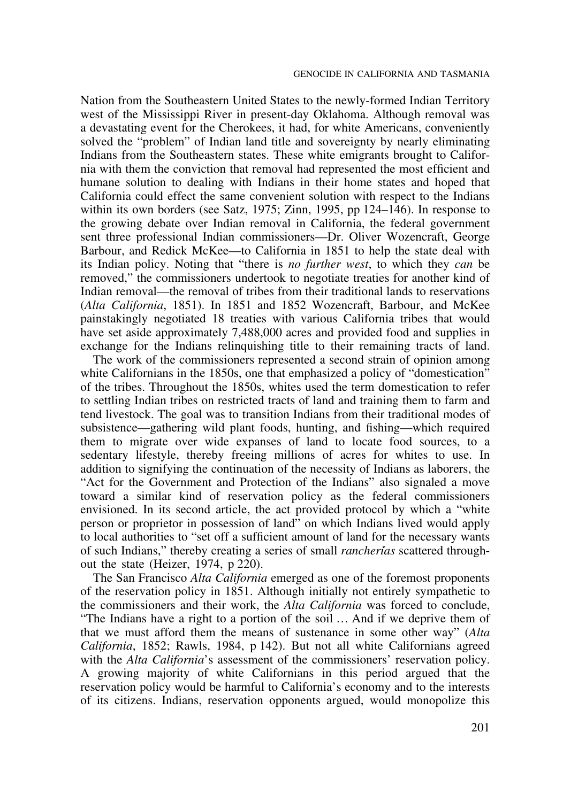Nation from the Southeastern United States to the newly-formed Indian Territory west of the Mississippi River in present-day Oklahoma. Although removal was a devastating event for the Cherokees, it had, for white Americans, conveniently solved the "problem" of Indian land title and sovereignty by nearly eliminating Indians from the Southeastern states. These white emigrants brought to California with them the conviction that removal had represented the most efficient and humane solution to dealing with Indians in their home states and hoped that California could effect the same convenient solution with respect to the Indians within its own borders (see Satz, 1975; Zinn, 1995, pp 124–146). In response to the growing debate over Indian removal in California, the federal government sent three professional Indian commissioners—Dr. Oliver Wozencraft, George Barbour, and Redick McKee—to California in 1851 to help the state deal with its Indian policy. Noting that "there is *no further west*, to which they *can* be removed," the commissioners undertook to negotiate treaties for another kind of Indian removal—the removal of tribes from their traditional lands to reservations (*Alta California*, 1851). In 1851 and 1852 Wozencraft, Barbour, and McKee painstakingly negotiated 18 treaties with various California tribes that would have set aside approximately 7,488,000 acres and provided food and supplies in exchange for the Indians relinquishing title to their remaining tracts of land.

The work of the commissioners represented a second strain of opinion among white Californians in the 1850s, one that emphasized a policy of "domestication" of the tribes. Throughout the 1850s, whites used the term domestication to refer to settling Indian tribes on restricted tracts of land and training them to farm and tend livestock. The goal was to transition Indians from their traditional modes of subsistence—gathering wild plant foods, hunting, and fishing—which required them to migrate over wide expanses of land to locate food sources, to a sedentary lifestyle, thereby freeing millions of acres for whites to use. In addition to signifying the continuation of the necessity of Indians as laborers, the "Act for the Government and Protection of the Indians" also signaled a move toward a similar kind of reservation policy as the federal commissioners envisioned. In its second article, the act provided protocol by which a "white person or proprietor in possession of land" on which Indians lived would apply to local authorities to "set off a sufficient amount of land for the necessary wants of such Indians," thereby creating a series of small *rancherias* scattered throughout the state (Heizer, 1974, p 220).

The San Francisco *Alta California* emerged as one of the foremost proponents of the reservation policy in 1851. Although initially not entirely sympathetic to the commissioners and their work, the *Alta California* was forced to conclude, "The Indians have a right to a portion of the soil … And if we deprive them of that we must afford them the means of sustenance in some other way" (*Alta California*, 1852; Rawls, 1984, p 142). But not all white Californians agreed with the *Alta California*'s assessment of the commissioners' reservation policy. A growing majority of white Californians in this period argued that the reservation policy would be harmful to California's economy and to the interests of its citizens. Indians, reservation opponents argued, would monopolize this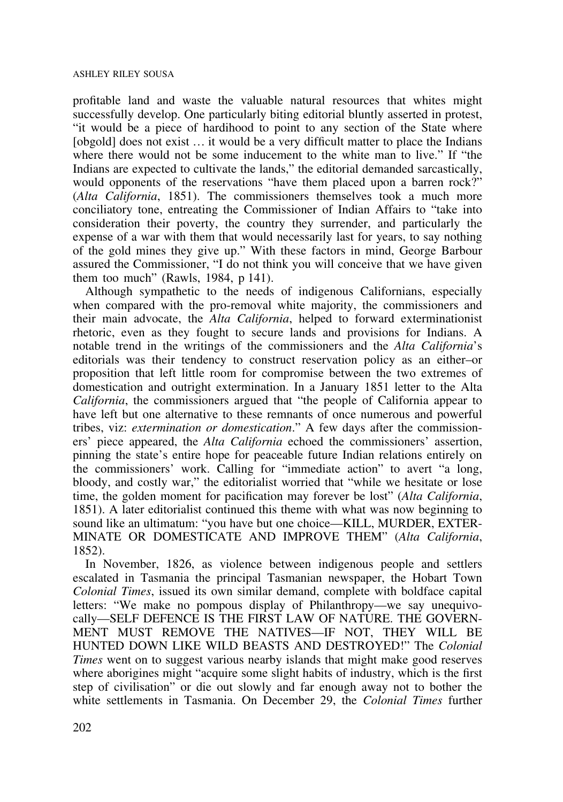profitable land and waste the valuable natural resources that whites might successfully develop. One particularly biting editorial bluntly asserted in protest, "it would be a piece of hardihood to point to any section of the State where [obgold] does not exist  $\ldots$  it would be a very difficult matter to place the Indians where there would not be some inducement to the white man to live." If "the Indians are expected to cultivate the lands," the editorial demanded sarcastically, would opponents of the reservations "have them placed upon a barren rock?" (*Alta California*, 1851). The commissioners themselves took a much more conciliatory tone, entreating the Commissioner of Indian Affairs to "take into consideration their poverty, the country they surrender, and particularly the expense of a war with them that would necessarily last for years, to say nothing of the gold mines they give up." With these factors in mind, George Barbour assured the Commissioner, "I do not think you will conceive that we have given them too much" (Rawls, 1984, p 141).

Although sympathetic to the needs of indigenous Californians, especially when compared with the pro-removal white majority, the commissioners and their main advocate, the *Alta California*, helped to forward exterminationist rhetoric, even as they fought to secure lands and provisions for Indians. A notable trend in the writings of the commissioners and the *Alta California*'s editorials was their tendency to construct reservation policy as an either–or proposition that left little room for compromise between the two extremes of domestication and outright extermination. In a January 1851 letter to the Alta *California*, the commissioners argued that "the people of California appear to have left but one alternative to these remnants of once numerous and powerful tribes, viz: *extermination or domestication*." A few days after the commissioners' piece appeared, the *Alta California* echoed the commissioners' assertion, pinning the state's entire hope for peaceable future Indian relations entirely on the commissioners' work. Calling for "immediate action" to avert "a long, bloody, and costly war," the editorialist worried that "while we hesitate or lose time, the golden moment for pacification may forever be lost" (*Alta California*, 1851). A later editorialist continued this theme with what was now beginning to sound like an ultimatum: "you have but one choice—KILL, MURDER, EXTER-MINATE OR DOMESTICATE AND IMPROVE THEM" (*Alta California*, 1852).

In November, 1826, as violence between indigenous people and settlers escalated in Tasmania the principal Tasmanian newspaper, the Hobart Town *Colonial Times*, issued its own similar demand, complete with boldface capital letters: "We make no pompous display of Philanthropy—we say unequivocally—SELF DEFENCE IS THE FIRST LAW OF NATURE. THE GOVERN-MENT MUST REMOVE THE NATIVES—IF NOT, THEY WILL BE HUNTED DOWN LIKE WILD BEASTS AND DESTROYED!" The *Colonial Times* went on to suggest various nearby islands that might make good reserves where aborigines might "acquire some slight habits of industry, which is the first step of civilisation" or die out slowly and far enough away not to bother the white settlements in Tasmania. On December 29, the *Colonial Times* further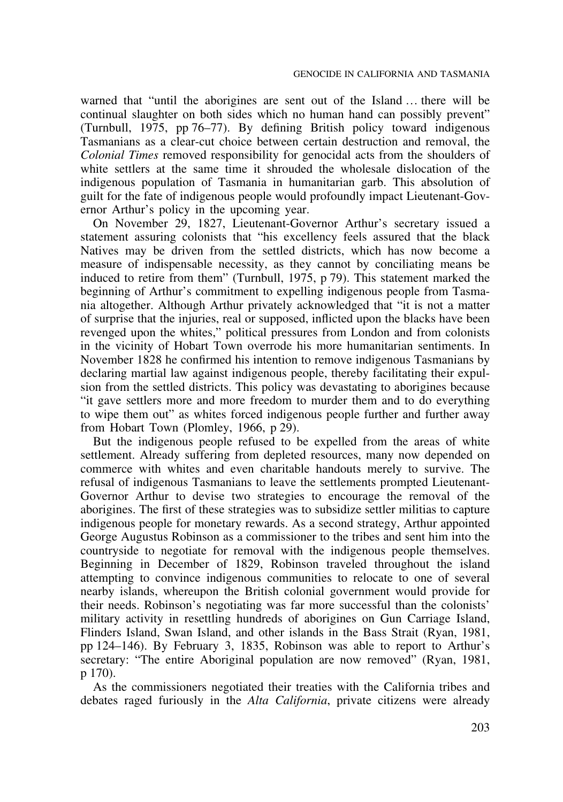warned that "until the aborigines are sent out of the Island … there will be continual slaughter on both sides which no human hand can possibly prevent" (Turnbull, 1975, pp 76–77). By defining British policy toward indigenous Tasmanians as a clear-cut choice between certain destruction and removal, the *Colonial Times* removed responsibility for genocidal acts from the shoulders of white settlers at the same time it shrouded the wholesale dislocation of the indigenous population of Tasmania in humanitarian garb. This absolution of guilt for the fate of indigenous people would profoundly impact Lieutenant-Governor Arthur's policy in the upcoming year.

On November 29, 1827, Lieutenant-Governor Arthur's secretary issued a statement assuring colonists that "his excellency feels assured that the black Natives may be driven from the settled districts, which has now become a measure of indispensable necessity, as they cannot by conciliating means be induced to retire from them" (Turnbull, 1975, p 79). This statement marked the beginning of Arthur's commitment to expelling indigenous people from Tasmania altogether. Although Arthur privately acknowledged that "it is not a matter of surprise that the injuries, real or supposed, inflicted upon the blacks have been revenged upon the whites," political pressures from London and from colonists in the vicinity of Hobart Town overrode his more humanitarian sentiments. In November 1828 he confirmed his intention to remove indigenous Tasmanians by declaring martial law against indigenous people, thereby facilitating their expulsion from the settled districts. This policy was devastating to aborigines because "it gave settlers more and more freedom to murder them and to do everything to wipe them out" as whites forced indigenous people further and further away from Hobart Town (Plomley, 1966, p 29).

But the indigenous people refused to be expelled from the areas of white settlement. Already suffering from depleted resources, many now depended on commerce with whites and even charitable handouts merely to survive. The refusal of indigenous Tasmanians to leave the settlements prompted Lieutenant-Governor Arthur to devise two strategies to encourage the removal of the aborigines. The first of these strategies was to subsidize settler militias to capture indigenous people for monetary rewards. As a second strategy, Arthur appointed George Augustus Robinson as a commissioner to the tribes and sent him into the countryside to negotiate for removal with the indigenous people themselves. Beginning in December of 1829, Robinson traveled throughout the island attempting to convince indigenous communities to relocate to one of several nearby islands, whereupon the British colonial government would provide for their needs. Robinson's negotiating was far more successful than the colonists' military activity in resettling hundreds of aborigines on Gun Carriage Island, Flinders Island, Swan Island, and other islands in the Bass Strait (Ryan, 1981, pp 124–146). By February 3, 1835, Robinson was able to report to Arthur's secretary: "The entire Aboriginal population are now removed" (Ryan, 1981, p 170).

As the commissioners negotiated their treaties with the California tribes and debates raged furiously in the *Alta California*, private citizens were already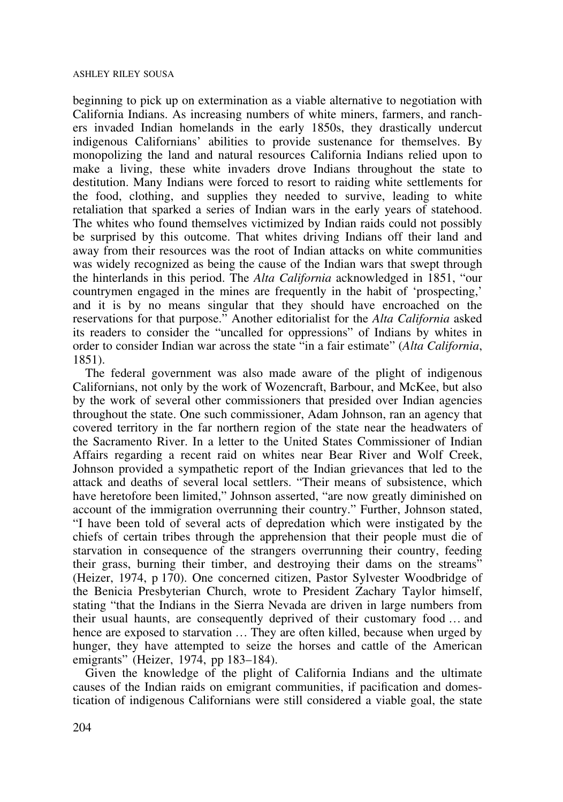beginning to pick up on extermination as a viable alternative to negotiation with California Indians. As increasing numbers of white miners, farmers, and ranchers invaded Indian homelands in the early 1850s, they drastically undercut indigenous Californians' abilities to provide sustenance for themselves. By monopolizing the land and natural resources California Indians relied upon to make a living, these white invaders drove Indians throughout the state to destitution. Many Indians were forced to resort to raiding white settlements for the food, clothing, and supplies they needed to survive, leading to white retaliation that sparked a series of Indian wars in the early years of statehood. The whites who found themselves victimized by Indian raids could not possibly be surprised by this outcome. That whites driving Indians off their land and away from their resources was the root of Indian attacks on white communities was widely recognized as being the cause of the Indian wars that swept through the hinterlands in this period. The *Alta California* acknowledged in 1851, "our countrymen engaged in the mines are frequently in the habit of 'prospecting,' and it is by no means singular that they should have encroached on the reservations for that purpose." Another editorialist for the *Alta California* asked its readers to consider the "uncalled for oppressions" of Indians by whites in order to consider Indian war across the state "in a fair estimate" (*Alta California*, 1851).

The federal government was also made aware of the plight of indigenous Californians, not only by the work of Wozencraft, Barbour, and McKee, but also by the work of several other commissioners that presided over Indian agencies throughout the state. One such commissioner, Adam Johnson, ran an agency that covered territory in the far northern region of the state near the headwaters of the Sacramento River. In a letter to the United States Commissioner of Indian Affairs regarding a recent raid on whites near Bear River and Wolf Creek, Johnson provided a sympathetic report of the Indian grievances that led to the attack and deaths of several local settlers. "Their means of subsistence, which have heretofore been limited," Johnson asserted, "are now greatly diminished on account of the immigration overrunning their country." Further, Johnson stated, "I have been told of several acts of depredation which were instigated by the chiefs of certain tribes through the apprehension that their people must die of starvation in consequence of the strangers overrunning their country, feeding their grass, burning their timber, and destroying their dams on the streams" (Heizer, 1974, p 170). One concerned citizen, Pastor Sylvester Woodbridge of the Benicia Presbyterian Church, wrote to President Zachary Taylor himself, stating "that the Indians in the Sierra Nevada are driven in large numbers from their usual haunts, are consequently deprived of their customary food … and hence are exposed to starvation … They are often killed, because when urged by hunger, they have attempted to seize the horses and cattle of the American emigrants" (Heizer, 1974, pp 183–184).

Given the knowledge of the plight of California Indians and the ultimate causes of the Indian raids on emigrant communities, if pacification and domestication of indigenous Californians were still considered a viable goal, the state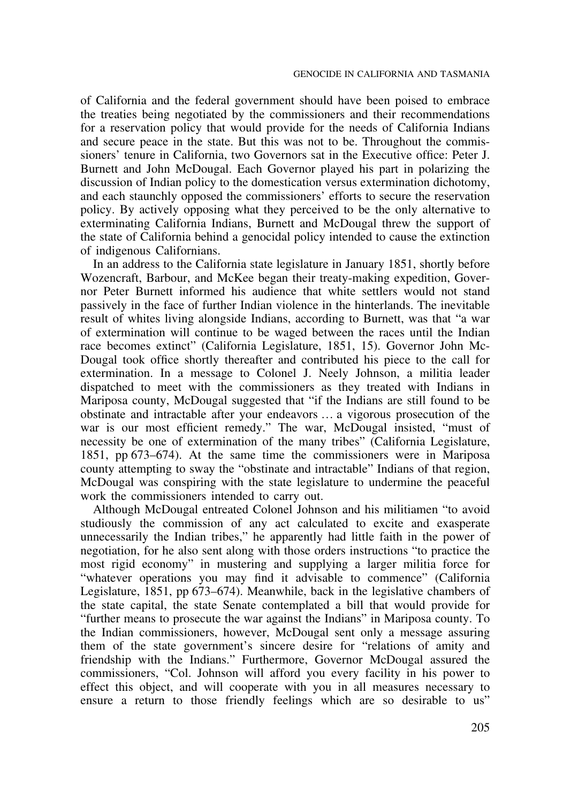of California and the federal government should have been poised to embrace the treaties being negotiated by the commissioners and their recommendations for a reservation policy that would provide for the needs of California Indians and secure peace in the state. But this was not to be. Throughout the commissioners' tenure in California, two Governors sat in the Executive office: Peter J. Burnett and John McDougal. Each Governor played his part in polarizing the discussion of Indian policy to the domestication versus extermination dichotomy, and each staunchly opposed the commissioners' efforts to secure the reservation policy. By actively opposing what they perceived to be the only alternative to exterminating California Indians, Burnett and McDougal threw the support of the state of California behind a genocidal policy intended to cause the extinction of indigenous Californians.

In an address to the California state legislature in January 1851, shortly before Wozencraft, Barbour, and McKee began their treaty-making expedition, Governor Peter Burnett informed his audience that white settlers would not stand passively in the face of further Indian violence in the hinterlands. The inevitable result of whites living alongside Indians, according to Burnett, was that "a war of extermination will continue to be waged between the races until the Indian race becomes extinct" (California Legislature, 1851, 15). Governor John Mc-Dougal took office shortly thereafter and contributed his piece to the call for extermination. In a message to Colonel J. Neely Johnson, a militia leader dispatched to meet with the commissioners as they treated with Indians in Mariposa county, McDougal suggested that "if the Indians are still found to be obstinate and intractable after your endeavors … a vigorous prosecution of the war is our most efficient remedy." The war, McDougal insisted, "must of necessity be one of extermination of the many tribes" (California Legislature, 1851, pp 673–674). At the same time the commissioners were in Mariposa county attempting to sway the "obstinate and intractable" Indians of that region, McDougal was conspiring with the state legislature to undermine the peaceful work the commissioners intended to carry out.

Although McDougal entreated Colonel Johnson and his militiamen "to avoid studiously the commission of any act calculated to excite and exasperate unnecessarily the Indian tribes," he apparently had little faith in the power of negotiation, for he also sent along with those orders instructions "to practice the most rigid economy" in mustering and supplying a larger militia force for "whatever operations you may find it advisable to commence" (California Legislature, 1851, pp 673–674). Meanwhile, back in the legislative chambers of the state capital, the state Senate contemplated a bill that would provide for "further means to prosecute the war against the Indians" in Mariposa county. To the Indian commissioners, however, McDougal sent only a message assuring them of the state government's sincere desire for "relations of amity and friendship with the Indians." Furthermore, Governor McDougal assured the commissioners, "Col. Johnson will afford you every facility in his power to effect this object, and will cooperate with you in all measures necessary to ensure a return to those friendly feelings which are so desirable to us"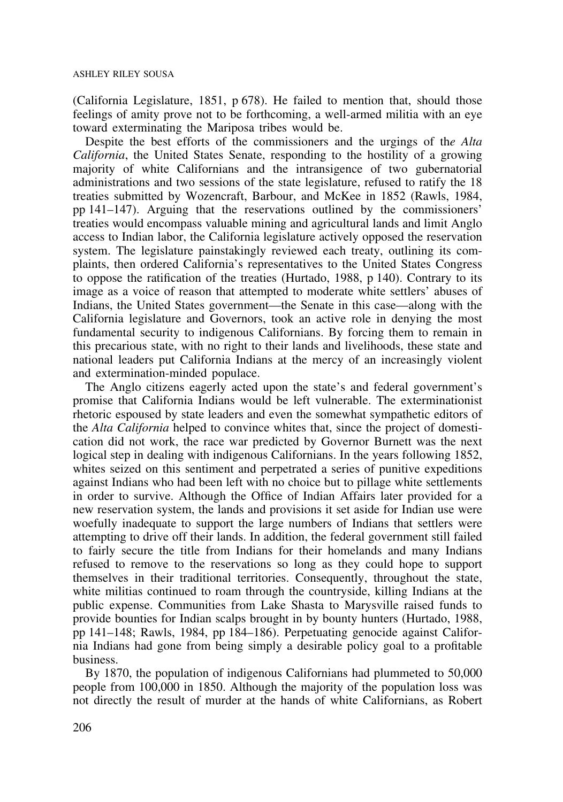(California Legislature, 1851, p 678). He failed to mention that, should those feelings of amity prove not to be forthcoming, a well-armed militia with an eye toward exterminating the Mariposa tribes would be.

Despite the best efforts of the commissioners and the urgings of th*e Alta California*, the United States Senate, responding to the hostility of a growing majority of white Californians and the intransigence of two gubernatorial administrations and two sessions of the state legislature, refused to ratify the 18 treaties submitted by Wozencraft, Barbour, and McKee in 1852 (Rawls, 1984, pp 141–147). Arguing that the reservations outlined by the commissioners' treaties would encompass valuable mining and agricultural lands and limit Anglo access to Indian labor, the California legislature actively opposed the reservation system. The legislature painstakingly reviewed each treaty, outlining its complaints, then ordered California's representatives to the United States Congress to oppose the ratification of the treaties (Hurtado, 1988, p 140). Contrary to its image as a voice of reason that attempted to moderate white settlers' abuses of Indians, the United States government—the Senate in this case—along with the California legislature and Governors, took an active role in denying the most fundamental security to indigenous Californians. By forcing them to remain in this precarious state, with no right to their lands and livelihoods, these state and national leaders put California Indians at the mercy of an increasingly violent and extermination-minded populace.

The Anglo citizens eagerly acted upon the state's and federal government's promise that California Indians would be left vulnerable. The exterminationist rhetoric espoused by state leaders and even the somewhat sympathetic editors of the *Alta California* helped to convince whites that, since the project of domestication did not work, the race war predicted by Governor Burnett was the next logical step in dealing with indigenous Californians. In the years following 1852, whites seized on this sentiment and perpetrated a series of punitive expeditions against Indians who had been left with no choice but to pillage white settlements in order to survive. Although the Office of Indian Affairs later provided for a new reservation system, the lands and provisions it set aside for Indian use were woefully inadequate to support the large numbers of Indians that settlers were attempting to drive off their lands. In addition, the federal government still failed to fairly secure the title from Indians for their homelands and many Indians refused to remove to the reservations so long as they could hope to support themselves in their traditional territories. Consequently, throughout the state, white militias continued to roam through the countryside, killing Indians at the public expense. Communities from Lake Shasta to Marysville raised funds to provide bounties for Indian scalps brought in by bounty hunters (Hurtado, 1988, pp 141–148; Rawls, 1984, pp 184–186). Perpetuating genocide against California Indians had gone from being simply a desirable policy goal to a profitable business.

By 1870, the population of indigenous Californians had plummeted to 50,000 people from 100,000 in 1850. Although the majority of the population loss was not directly the result of murder at the hands of white Californians, as Robert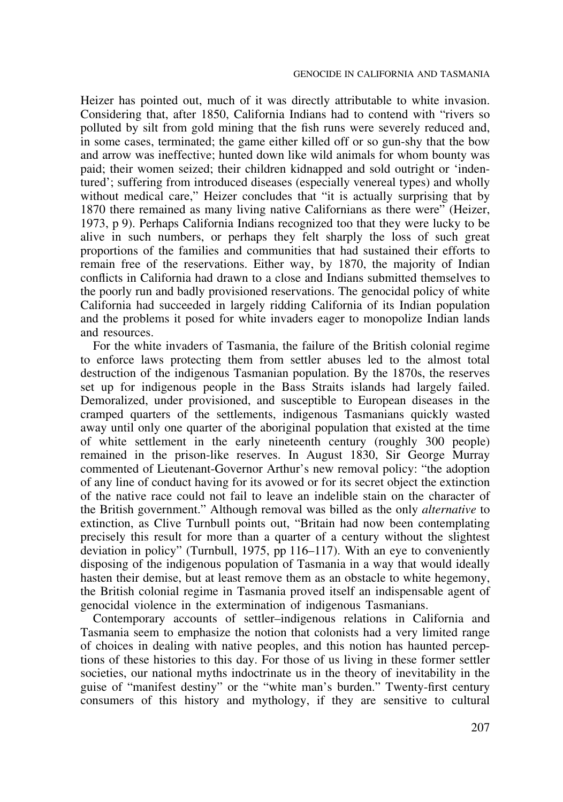Heizer has pointed out, much of it was directly attributable to white invasion. Considering that, after 1850, California Indians had to contend with "rivers so polluted by silt from gold mining that the fish runs were severely reduced and, in some cases, terminated; the game either killed off or so gun-shy that the bow and arrow was ineffective; hunted down like wild animals for whom bounty was paid; their women seized; their children kidnapped and sold outright or 'indentured'; suffering from introduced diseases (especially venereal types) and wholly without medical care," Heizer concludes that "it is actually surprising that by 1870 there remained as many living native Californians as there were" (Heizer, 1973, p 9). Perhaps California Indians recognized too that they were lucky to be alive in such numbers, or perhaps they felt sharply the loss of such great proportions of the families and communities that had sustained their efforts to remain free of the reservations. Either way, by 1870, the majority of Indian conflicts in California had drawn to a close and Indians submitted themselves to the poorly run and badly provisioned reservations. The genocidal policy of white California had succeeded in largely ridding California of its Indian population and the problems it posed for white invaders eager to monopolize Indian lands and resources.

For the white invaders of Tasmania, the failure of the British colonial regime to enforce laws protecting them from settler abuses led to the almost total destruction of the indigenous Tasmanian population. By the 1870s, the reserves set up for indigenous people in the Bass Straits islands had largely failed. Demoralized, under provisioned, and susceptible to European diseases in the cramped quarters of the settlements, indigenous Tasmanians quickly wasted away until only one quarter of the aboriginal population that existed at the time of white settlement in the early nineteenth century (roughly 300 people) remained in the prison-like reserves. In August 1830, Sir George Murray commented of Lieutenant-Governor Arthur's new removal policy: "the adoption of any line of conduct having for its avowed or for its secret object the extinction of the native race could not fail to leave an indelible stain on the character of the British government." Although removal was billed as the only *alternative* to extinction, as Clive Turnbull points out, "Britain had now been contemplating precisely this result for more than a quarter of a century without the slightest deviation in policy" (Turnbull, 1975, pp 116–117). With an eye to conveniently disposing of the indigenous population of Tasmania in a way that would ideally hasten their demise, but at least remove them as an obstacle to white hegemony, the British colonial regime in Tasmania proved itself an indispensable agent of genocidal violence in the extermination of indigenous Tasmanians.

Contemporary accounts of settler–indigenous relations in California and Tasmania seem to emphasize the notion that colonists had a very limited range of choices in dealing with native peoples, and this notion has haunted perceptions of these histories to this day. For those of us living in these former settler societies, our national myths indoctrinate us in the theory of inevitability in the guise of "manifest destiny" or the "white man's burden." Twenty-first century consumers of this history and mythology, if they are sensitive to cultural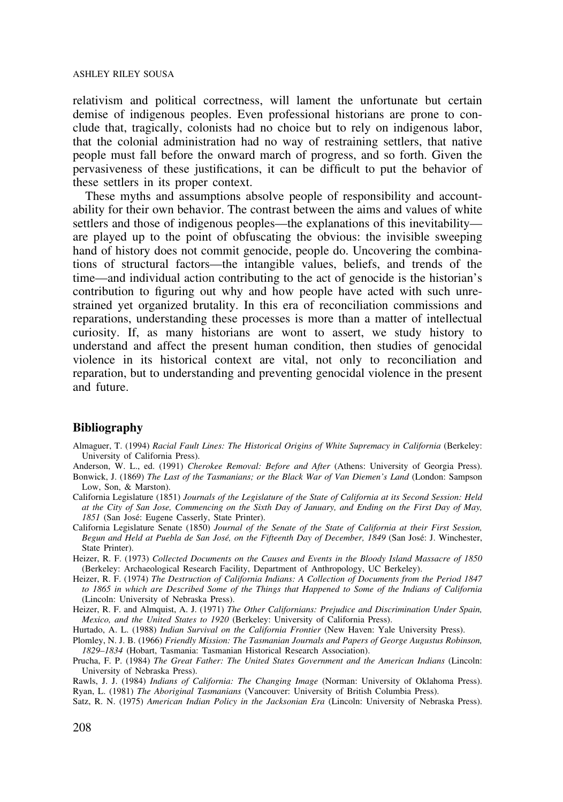relativism and political correctness, will lament the unfortunate but certain demise of indigenous peoples. Even professional historians are prone to conclude that, tragically, colonists had no choice but to rely on indigenous labor, that the colonial administration had no way of restraining settlers, that native people must fall before the onward march of progress, and so forth. Given the pervasiveness of these justifications, it can be difficult to put the behavior of these settlers in its proper context.

These myths and assumptions absolve people of responsibility and accountability for their own behavior. The contrast between the aims and values of white settlers and those of indigenous peoples—the explanations of this inevitability are played up to the point of obfuscating the obvious: the invisible sweeping hand of history does not commit genocide, people do. Uncovering the combinations of structural factors—the intangible values, beliefs, and trends of the time—and individual action contributing to the act of genocide is the historian's contribution to figuring out why and how people have acted with such unrestrained yet organized brutality. In this era of reconciliation commissions and reparations, understanding these processes is more than a matter of intellectual curiosity. If, as many historians are wont to assert, we study history to understand and affect the present human condition, then studies of genocidal violence in its historical context are vital, not only to reconciliation and reparation, but to understanding and preventing genocidal violence in the present and future.

#### **Bibliography**

- Almaguer, T. (1994) *Racial Fault Lines: The Historical Origins of White Supremacy in California* (Berkeley: University of California Press).
- Anderson, W. L., ed. (1991) *Cherokee Removal: Before and After* (Athens: University of Georgia Press).
- Bonwick, J. (1869) *The Last of the Tasmanians; or the Black War of Van Diemen's Land* (London: Sampson Low, Son, & Marston).
- California Legislature (1851) *Journals of the Legislature of the State of California at its Second Session: Held at the City of San Jose, Commencing on the Sixth Day of January, and Ending on the First Day of May,* 1851 (San José: Eugene Casserly, State Printer).
- California Legislature Senate (1850) *Journal of the Senate of the State of California at their First Session, Begun and Held at Puebla de San Jose´, on the Fifteenth Day of December, 1849* (San Jose´: J. Winchester, State Printer).
- Heizer, R. F. (1973) *Collected Documents on the Causes and Events in the Bloody Island Massacre of 1850* (Berkeley: Archaeological Research Facility, Department of Anthropology, UC Berkeley).
- Heizer, R. F. (1974) *The Destruction of California Indians: A Collection of Documents from the Period 1847 to 1865 in which are Described Some of the Things that Happened to Some of the Indians of California* (Lincoln: University of Nebraska Press).

Heizer, R. F. and Almquist, A. J. (1971) *The Other Californians: Prejudice and Discrimination Under Spain, Mexico, and the United States to 1920* (Berkeley: University of California Press).

- Hurtado, A. L. (1988) *Indian Survival on the California Frontier* (New Haven: Yale University Press).
- Plomley, N. J. B. (1966) *Friendly Mission: The Tasmanian Journals and Papers of George Augustus Robinson, 1829–1834* (Hobart, Tasmania: Tasmanian Historical Research Association).
- Prucha, F. P. (1984) *The Great Father: The United States Government and the American Indians* (Lincoln: University of Nebraska Press).

Rawls, J. J. (1984) *Indians of California: The Changing Image* (Norman: University of Oklahoma Press). Ryan, L. (1981) *The Aboriginal Tasmanians* (Vancouver: University of British Columbia Press).

Satz, R. N. (1975) *American Indian Policy in the Jacksonian Era* (Lincoln: University of Nebraska Press).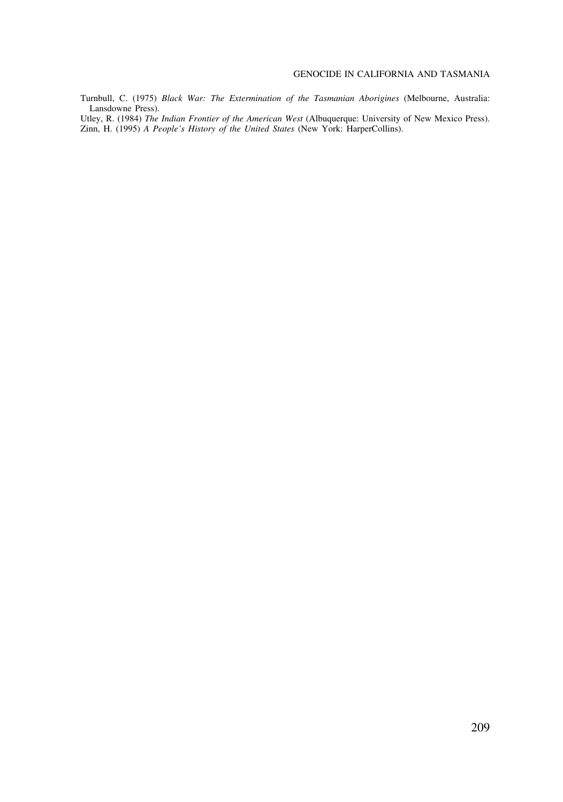#### GENOCIDE IN CALIFORNIA AND TASMANIA

Turnbull, C. (1975) *Black War: The Extermination of the Tasmanian Aborigines* (Melbourne, Australia: Lansdowne Press).

Utley, R. (1984) *The Indian Frontier of the American West* (Albuquerque: University of New Mexico Press). Zinn, H. (1995) *A People's History of the United States* (New York: HarperCollins).